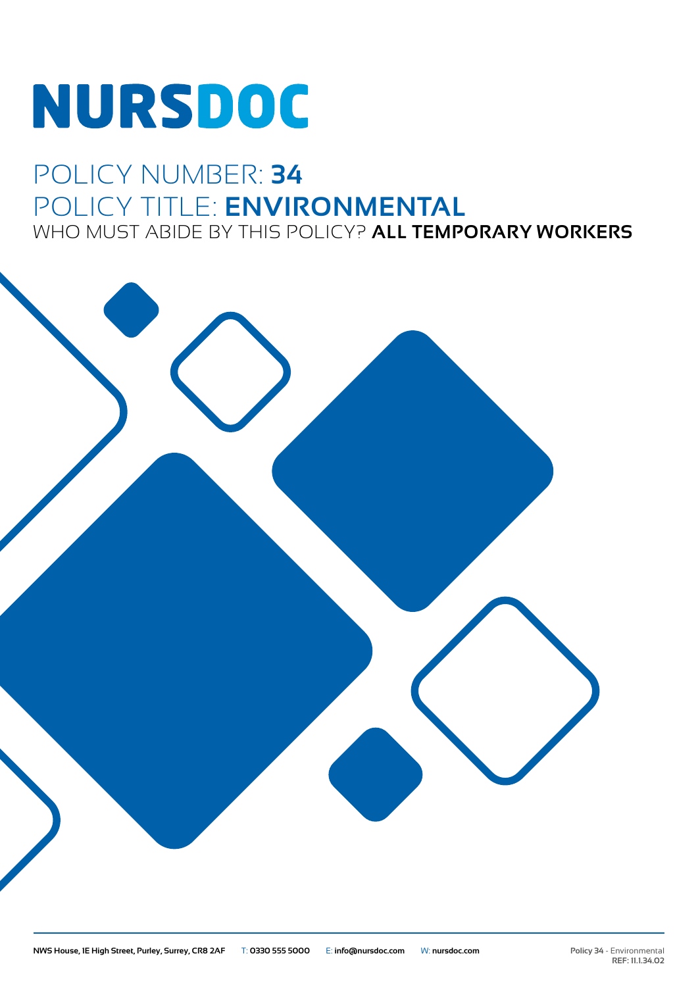# **NURSDOC**

### POLICY NUMBER: **34** POLICY TITLE: **ENVIRONMENTAL** WHO MUST ABIDE BY THIS POLICY? **ALL TEMPORARY WORKERS**